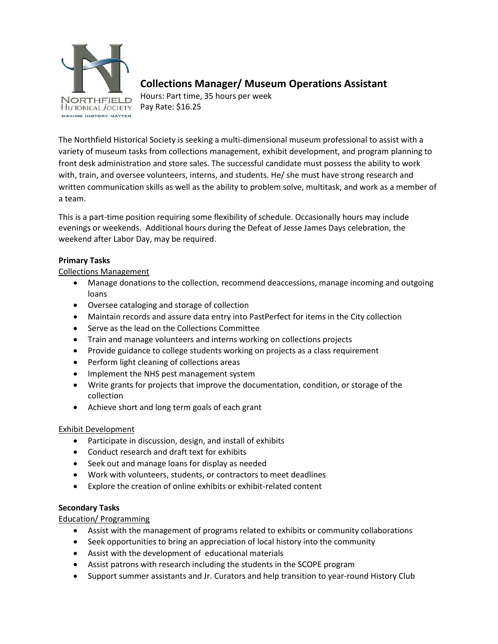

# **Collections Manager/ Museum Operations Assistant**

Hours: Part time, 35 hours per week Pay Rate: \$16.25

The Northfield Historical Society is seeking a multi-dimensional museum professional to assist with a variety of museum tasks from collections management, exhibit development, and program planning to front desk administration and store sales. The successful candidate must possess the ability to work with, train, and oversee volunteers, interns, and students. He/ she must have strong research and written communication skills as well as the ability to problem solve, multitask, and work as a member of a team.

This is a part-time position requiring some flexibility of schedule. Occasionally hours may include evenings or weekends. Additional hours during the Defeat of Jesse James Days celebration, the weekend after Labor Day, may be required.

## **Primary Tasks**

Collections Management

- Manage donations to the collection, recommend deaccessions, manage incoming and outgoing loans
- Oversee cataloging and storage of collection
- Maintain records and assure data entry into PastPerfect for items in the City collection
- Serve as the lead on the Collections Committee
- Train and manage volunteers and interns working on collections projects
- Provide guidance to college students working on projects as a class requirement
- Perform light cleaning of collections areas
- Implement the NHS pest management system
- Write grants for projects that improve the documentation, condition, or storage of the collection
- Achieve short and long term goals of each grant

### Exhibit Development

- Participate in discussion, design, and install of exhibits
- Conduct research and draft text for exhibits
- Seek out and manage loans for display as needed
- Work with volunteers, students, or contractors to meet deadlines
- Explore the creation of online exhibits or exhibit-related content

### **Secondary Tasks**

Education/ Programming

- Assist with the management of programs related to exhibits or community collaborations
- Seek opportunities to bring an appreciation of local history into the community
- Assist with the development of educational materials
- Assist patrons with research including the students in the SCOPE program
- Support summer assistants and Jr. Curators and help transition to year-round History Club